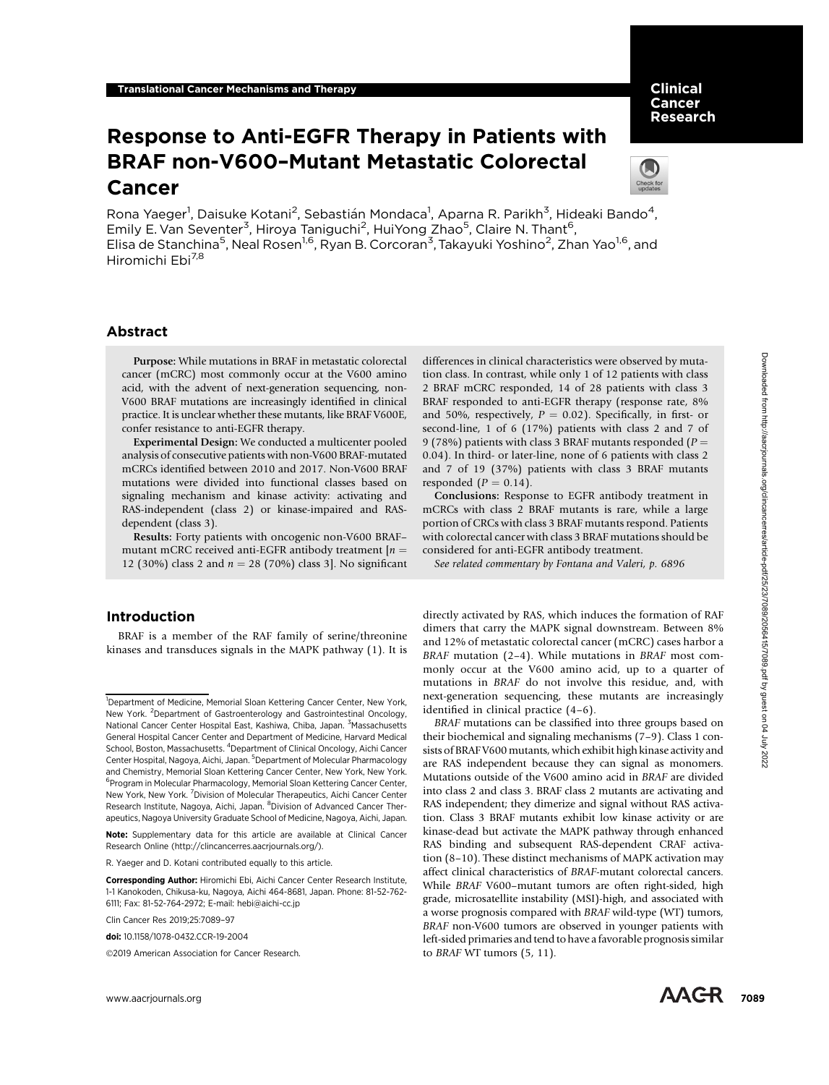# Response to Anti-EGFR Therapy in Patients with BRAF non-V600–Mutant Metastatic Colorectal Cancer



Clinical Cancer Research

Rona Yaeger<sup>1</sup>, Daisuke Kotani<sup>2</sup>, Sebastián Mondaca<sup>1</sup>, Aparna R. Parikh<sup>3</sup>, Hideaki Bando<sup>4</sup>, Emily E. Van Seventer<sup>3</sup>, Hiroya Taniguchi<sup>2</sup>, HuiYong Zhao<sup>5</sup>, Claire N. Thant<sup>6</sup>, Elisa de Stanchina<sup>5</sup>, Neal Rosen<sup>1,6</sup>, Ryan B. Corcoran<sup>3</sup>, Takayuki Yoshino<sup>2</sup>, Zhan Yao<sup>1,6</sup>, and Hiromichi Ebi7,8

# Abstract

Purpose: While mutations in BRAF in metastatic colorectal cancer (mCRC) most commonly occur at the V600 amino acid, with the advent of next-generation sequencing, non-V600 BRAF mutations are increasingly identified in clinical practice. It is unclear whether these mutants, like BRAF V600E, confer resistance to anti-EGFR therapy.

Experimental Design: We conducted a multicenter pooled analysis of consecutive patients with non-V600 BRAF-mutated mCRCs identified between 2010 and 2017. Non-V600 BRAF mutations were divided into functional classes based on signaling mechanism and kinase activity: activating and RAS-independent (class 2) or kinase-impaired and RASdependent (class 3).

Results: Forty patients with oncogenic non-V600 BRAF– mutant mCRC received anti-EGFR antibody treatment  $[n =$ 12 (30%) class 2 and  $n = 28$  (70%) class 3]. No significant

# Introduction

BRAF is a member of the RAF family of serine/threonine kinases and transduces signals in the MAPK pathway (1). It is differences in clinical characteristics were observed by mutation class. In contrast, while only 1 of 12 patients with class 2 BRAF mCRC responded, 14 of 28 patients with class 3 BRAF responded to anti-EGFR therapy (response rate, 8% and 50%, respectively,  $P = 0.02$ ). Specifically, in first- or second-line, 1 of 6 (17%) patients with class 2 and 7 of 9 (78%) patients with class 3 BRAF mutants responded ( $P =$ 0.04). In third- or later-line, none of 6 patients with class 2 and 7 of 19 (37%) patients with class 3 BRAF mutants responded  $(P = 0.14)$ .

Conclusions: Response to EGFR antibody treatment in mCRCs with class 2 BRAF mutants is rare, while a large portion of CRCs with class 3 BRAF mutants respond. Patients with colorectal cancer with class 3 BRAF mutations should be considered for anti-EGFR antibody treatment.

See related commentary by Fontana and Valeri, p. 6896

directly activated by RAS, which induces the formation of RAF dimers that carry the MAPK signal downstream. Between 8% and 12% of metastatic colorectal cancer (mCRC) cases harbor a BRAF mutation (2–4). While mutations in BRAF most commonly occur at the V600 amino acid, up to a quarter of mutations in BRAF do not involve this residue, and, with next-generation sequencing, these mutants are increasingly identified in clinical practice (4–6).

BRAF mutations can be classified into three groups based on their biochemical and signaling mechanisms (7–9). Class 1 consists of BRAF V600 mutants, which exhibit high kinase activity and are RAS independent because they can signal as monomers. Mutations outside of the V600 amino acid in BRAF are divided into class 2 and class 3. BRAF class 2 mutants are activating and RAS independent; they dimerize and signal without RAS activation. Class 3 BRAF mutants exhibit low kinase activity or are kinase-dead but activate the MAPK pathway through enhanced RAS binding and subsequent RAS-dependent CRAF activation (8–10). These distinct mechanisms of MAPK activation may affect clinical characteristics of BRAF-mutant colorectal cancers. While BRAF V600–mutant tumors are often right-sided, high grade, microsatellite instability (MSI)-high, and associated with a worse prognosis compared with BRAF wild-type (WT) tumors, BRAF non-V600 tumors are observed in younger patients with left-sided primaries and tend to have a favorable prognosis similar to BRAF WT tumors (5, 11). www.asset which results in the Usin recults in the Usin and the Usin results in the Usin results of the Content of the Content of the Content of the Content of the Content of the Content of the Content of the Content of t



<sup>&</sup>lt;sup>1</sup>Department of Medicine, Memorial Sloan Kettering Cancer Center, New York, New York. <sup>2</sup>Department of Gastroenterology and Gastrointestinal Oncology, National Cancer Center Hospital East, Kashiwa, Chiba, Japan. <sup>3</sup>Massachusetts General Hospital Cancer Center and Department of Medicine, Harvard Medical School, Boston, Massachusetts. <sup>4</sup>Department of Clinical Oncology, Aichi Cancer Center Hospital, Nagoya, Aichi, Japan. <sup>5</sup>Department of Molecular Pharmacology and Chemistry, Memorial Sloan Kettering Cancer Center, New York, New York. <sup>6</sup>Program in Molecular Pharmacology, Memorial Sloan Kettering Cancer Center, New York, New York. <sup>7</sup> Division of Molecular Therapeutics, Aichi Cancer Center Research Institute, Nagoya, Aichi, Japan. <sup>8</sup>Division of Advanced Cancer Therapeutics, Nagoya University Graduate School of Medicine, Nagoya, Aichi, Japan.

Note: Supplementary data for this article are available at Clinical Cancer Research Online (http://clincancerres.aacrjournals.org/).

R. Yaeger and D. Kotani contributed equally to this article.

Corresponding Author: Hiromichi Ebi, Aichi Cancer Center Research Institute, 1-1 Kanokoden, Chikusa-ku, Nagoya, Aichi 464-8681, Japan. Phone: 81-52-762- 6111; Fax: 81-52-764-2972; E-mail: hebi@aichi-cc.jp

Clin Cancer Res 2019;25:7089–97

doi: 10.1158/1078-0432.CCR-19-2004

<sup>2019</sup> American Association for Cancer Research.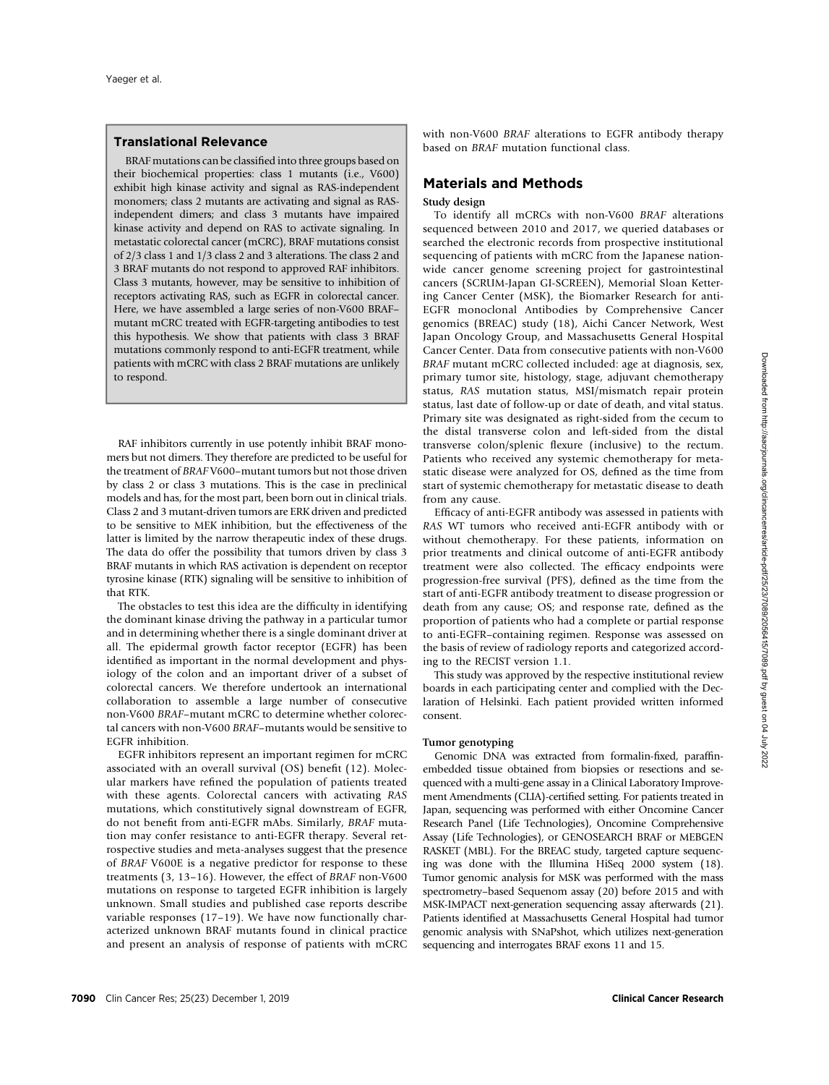# Translational Relevance

BRAF mutations can be classified into three groups based on their biochemical properties: class 1 mutants (i.e., V600) exhibit high kinase activity and signal as RAS-independent monomers; class 2 mutants are activating and signal as RASindependent dimers; and class 3 mutants have impaired kinase activity and depend on RAS to activate signaling. In metastatic colorectal cancer (mCRC), BRAF mutations consist of 2/3 class 1 and 1/3 class 2 and 3 alterations. The class 2 and 3 BRAF mutants do not respond to approved RAF inhibitors. Class 3 mutants, however, may be sensitive to inhibition of receptors activating RAS, such as EGFR in colorectal cancer. Here, we have assembled a large series of non-V600 BRAF– mutant mCRC treated with EGFR-targeting antibodies to test this hypothesis. We show that patients with class 3 BRAF mutations commonly respond to anti-EGFR treatment, while patients with mCRC with class 2 BRAF mutations are unlikely to respond.

RAF inhibitors currently in use potently inhibit BRAF monomers but not dimers. They therefore are predicted to be useful for the treatment of BRAF V600–mutant tumors but not those driven by class 2 or class 3 mutations. This is the case in preclinical models and has, for the most part, been born out in clinical trials. Class 2 and 3 mutant-driven tumors are ERK driven and predicted to be sensitive to MEK inhibition, but the effectiveness of the latter is limited by the narrow therapeutic index of these drugs. The data do offer the possibility that tumors driven by class 3 BRAF mutants in which RAS activation is dependent on receptor tyrosine kinase (RTK) signaling will be sensitive to inhibition of that RTK.

The obstacles to test this idea are the difficulty in identifying the dominant kinase driving the pathway in a particular tumor and in determining whether there is a single dominant driver at all. The epidermal growth factor receptor (EGFR) has been identified as important in the normal development and physiology of the colon and an important driver of a subset of colorectal cancers. We therefore undertook an international collaboration to assemble a large number of consecutive non-V600 BRAF–mutant mCRC to determine whether colorectal cancers with non-V600 BRAF–mutants would be sensitive to EGFR inhibition.

EGFR inhibitors represent an important regimen for mCRC associated with an overall survival (OS) benefit (12). Molecular markers have refined the population of patients treated with these agents. Colorectal cancers with activating RAS mutations, which constitutively signal downstream of EGFR, do not benefit from anti-EGFR mAbs. Similarly, BRAF mutation may confer resistance to anti-EGFR therapy. Several retrospective studies and meta-analyses suggest that the presence of BRAF V600E is a negative predictor for response to these treatments (3, 13–16). However, the effect of BRAF non-V600 mutations on response to targeted EGFR inhibition is largely unknown. Small studies and published case reports describe variable responses (17–19). We have now functionally characterized unknown BRAF mutants found in clinical practice and present an analysis of response of patients with mCRC with non-V600 BRAF alterations to EGFR antibody therapy based on BRAF mutation functional class.

# Materials and Methods

## Study design

To identify all mCRCs with non-V600 BRAF alterations sequenced between 2010 and 2017, we queried databases or searched the electronic records from prospective institutional sequencing of patients with mCRC from the Japanese nationwide cancer genome screening project for gastrointestinal cancers (SCRUM-Japan GI-SCREEN), Memorial Sloan Kettering Cancer Center (MSK), the Biomarker Research for anti-EGFR monoclonal Antibodies by Comprehensive Cancer genomics (BREAC) study (18), Aichi Cancer Network, West Japan Oncology Group, and Massachusetts General Hospital Cancer Center. Data from consecutive patients with non-V600 BRAF mutant mCRC collected included: age at diagnosis, sex, primary tumor site, histology, stage, adjuvant chemotherapy status, RAS mutation status, MSI/mismatch repair protein status, last date of follow-up or date of death, and vital status. Primary site was designated as right-sided from the cecum to the distal transverse colon and left-sided from the distal transverse colon/splenic flexure (inclusive) to the rectum. Patients who received any systemic chemotherapy for metastatic disease were analyzed for OS, defined as the time from start of systemic chemotherapy for metastatic disease to death from any cause.

Efficacy of anti-EGFR antibody was assessed in patients with RAS WT tumors who received anti-EGFR antibody with or without chemotherapy. For these patients, information on prior treatments and clinical outcome of anti-EGFR antibody treatment were also collected. The efficacy endpoints were progression-free survival (PFS), defined as the time from the start of anti-EGFR antibody treatment to disease progression or death from any cause; OS; and response rate, defined as the proportion of patients who had a complete or partial response to anti-EGFR–containing regimen. Response was assessed on the basis of review of radiology reports and categorized according to the RECIST version 1.1.

This study was approved by the respective institutional review boards in each participating center and complied with the Declaration of Helsinki. Each patient provided written informed consent.

# Tumor genotyping

Genomic DNA was extracted from formalin-fixed, paraffinembedded tissue obtained from biopsies or resections and sequenced with a multi-gene assay in a Clinical Laboratory Improvement Amendments (CLIA)-certified setting. For patients treated in Japan, sequencing was performed with either Oncomine Cancer Research Panel (Life Technologies), Oncomine Comprehensive Assay (Life Technologies), or GENOSEARCH BRAF or MEBGEN RASKET (MBL). For the BREAC study, targeted capture sequencing was done with the Illumina HiSeq 2000 system (18). Tumor genomic analysis for MSK was performed with the mass spectrometry–based Sequenom assay (20) before 2015 and with MSK-IMPACT next-generation sequencing assay afterwards (21). Patients identified at Massachusetts General Hospital had tumor genomic analysis with SNaPshot, which utilizes next-generation sequencing and interrogates BRAF exons 11 and 15.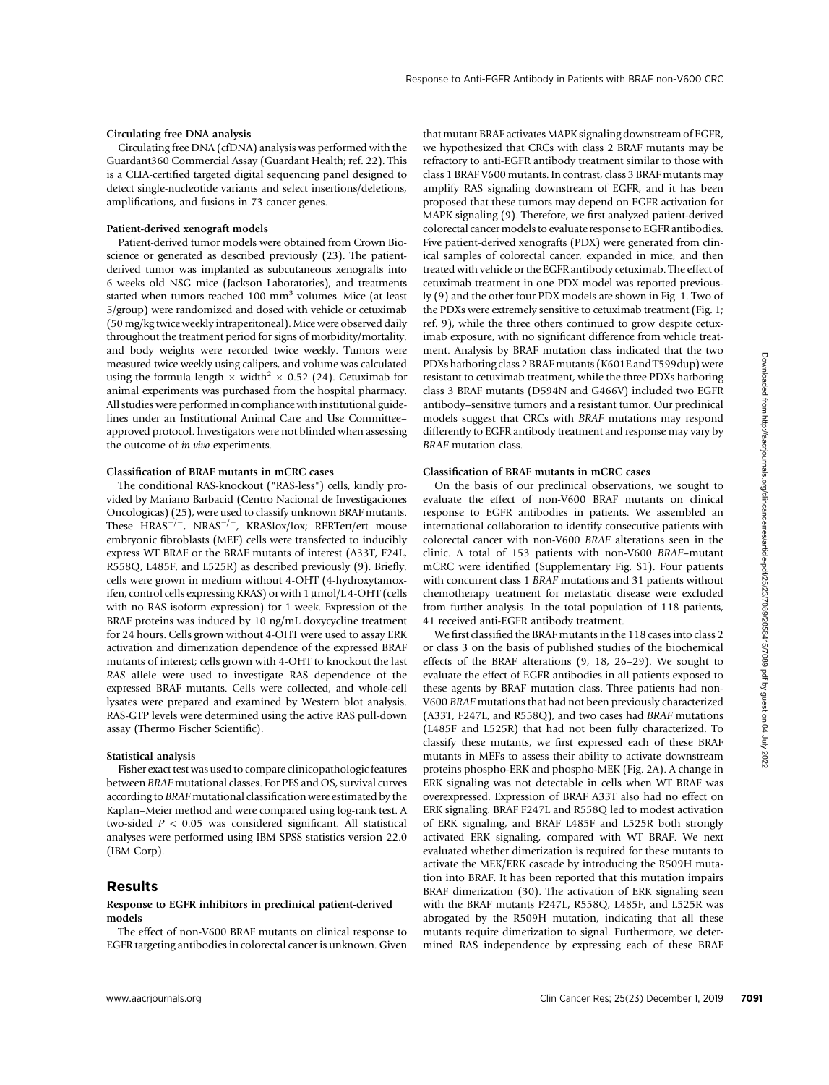## Circulating free DNA analysis

Circulating free DNA (cfDNA) analysis was performed with the Guardant360 Commercial Assay (Guardant Health; ref. 22). This is a CLIA-certified targeted digital sequencing panel designed to detect single-nucleotide variants and select insertions/deletions, amplifications, and fusions in 73 cancer genes.

# Patient-derived xenograft models

Patient-derived tumor models were obtained from Crown Bioscience or generated as described previously (23). The patientderived tumor was implanted as subcutaneous xenografts into 6 weeks old NSG mice (Jackson Laboratories), and treatments started when tumors reached 100 mm<sup>3</sup> volumes. Mice (at least 5/group) were randomized and dosed with vehicle or cetuximab (50 mg/kg twice weekly intraperitoneal). Mice were observed daily throughout the treatment period for signs of morbidity/mortality, and body weights were recorded twice weekly. Tumors were measured twice weekly using calipers, and volume was calculated using the formula length  $\times$  width<sup>2</sup>  $\times$  0.52 (24). Cetuximab for animal experiments was purchased from the hospital pharmacy. All studies were performed in compliance with institutional guidelines under an Institutional Animal Care and Use Committee– approved protocol. Investigators were not blinded when assessing the outcome of in vivo experiments.

## Classification of BRAF mutants in mCRC cases

The conditional RAS-knockout ("RAS-less") cells, kindly provided by Mariano Barbacid (Centro Nacional de Investigaciones Oncologicas) (25), were used to classify unknown BRAF mutants. These  $H RAS^{-/-}$ , NRAS<sup>-/-</sup>, KRASlox/lox; RERTert/ert mouse embryonic fibroblasts (MEF) cells were transfected to inducibly express WT BRAF or the BRAF mutants of interest (A33T, F24L, R558Q, L485F, and L525R) as described previously (9). Briefly, cells were grown in medium without 4-OHT (4-hydroxytamoxifen, control cells expressing KRAS) or with  $1 \mu$ mol/L 4-OHT (cells with no RAS isoform expression) for 1 week. Expression of the BRAF proteins was induced by 10 ng/mL doxycycline treatment for 24 hours. Cells grown without 4-OHT were used to assay ERK activation and dimerization dependence of the expressed BRAF mutants of interest; cells grown with 4-OHT to knockout the last RAS allele were used to investigate RAS dependence of the expressed BRAF mutants. Cells were collected, and whole-cell lysates were prepared and examined by Western blot analysis. RAS-GTP levels were determined using the active RAS pull-down assay (Thermo Fischer Scientific).

# Statistical analysis

Fisher exact test was used to compare clinicopathologic features between BRAF mutational classes. For PFS and OS, survival curves according to BRAF mutational classification were estimated by the Kaplan–Meier method and were compared using log-rank test. A two-sided P < 0.05 was considered significant. All statistical analyses were performed using IBM SPSS statistics version 22.0 (IBM Corp).

# Results

# Response to EGFR inhibitors in preclinical patient-derived models

The effect of non-V600 BRAF mutants on clinical response to EGFR targeting antibodies in colorectal cancer is unknown. Given that mutant BRAF activates MAPK signaling downstream of EGFR, we hypothesized that CRCs with class 2 BRAF mutants may be refractory to anti-EGFR antibody treatment similar to those with class 1 BRAF V600 mutants. In contrast, class 3 BRAF mutants may amplify RAS signaling downstream of EGFR, and it has been proposed that these tumors may depend on EGFR activation for MAPK signaling (9). Therefore, we first analyzed patient-derived colorectal cancer models to evaluate response to EGFR antibodies. Five patient-derived xenografts (PDX) were generated from clinical samples of colorectal cancer, expanded in mice, and then treated with vehicle or the EGFR antibody cetuximab. The effect of cetuximab treatment in one PDX model was reported previously (9) and the other four PDX models are shown in Fig. 1. Two of the PDXs were extremely sensitive to cetuximab treatment (Fig. 1; ref. 9), while the three others continued to grow despite cetuximab exposure, with no significant difference from vehicle treatment. Analysis by BRAF mutation class indicated that the two PDXs harboring class 2 BRAF mutants (K601E and T599dup) were resistant to cetuximab treatment, while the three PDXs harboring class 3 BRAF mutants (D594N and G466V) included two EGFR antibody–sensitive tumors and a resistant tumor. Our preclinical models suggest that CRCs with BRAF mutations may respond differently to EGFR antibody treatment and response may vary by BRAF mutation class.

#### Classification of BRAF mutants in mCRC cases

On the basis of our preclinical observations, we sought to evaluate the effect of non-V600 BRAF mutants on clinical response to EGFR antibodies in patients. We assembled an international collaboration to identify consecutive patients with colorectal cancer with non-V600 BRAF alterations seen in the clinic. A total of 153 patients with non-V600 BRAF–mutant mCRC were identified (Supplementary Fig. S1). Four patients with concurrent class 1 BRAF mutations and 31 patients without chemotherapy treatment for metastatic disease were excluded from further analysis. In the total population of 118 patients, 41 received anti-EGFR antibody treatment.

We first classified the BRAF mutants in the 118 cases into class 2 or class 3 on the basis of published studies of the biochemical effects of the BRAF alterations (9, 18, 26–29). We sought to evaluate the effect of EGFR antibodies in all patients exposed to these agents by BRAF mutation class. Three patients had non-V600 BRAF mutations that had not been previously characterized (A33T, F247L, and R558Q), and two cases had BRAF mutations (L485F and L525R) that had not been fully characterized. To classify these mutants, we first expressed each of these BRAF mutants in MEFs to assess their ability to activate downstream proteins phospho-ERK and phospho-MEK (Fig. 2A). A change in ERK signaling was not detectable in cells when WT BRAF was overexpressed. Expression of BRAF A33T also had no effect on ERK signaling. BRAF F247L and R558Q led to modest activation of ERK signaling, and BRAF L485F and L525R both strongly activated ERK signaling, compared with WT BRAF. We next evaluated whether dimerization is required for these mutants to activate the MEK/ERK cascade by introducing the R509H mutation into BRAF. It has been reported that this mutation impairs BRAF dimerization (30). The activation of ERK signaling seen with the BRAF mutants F247L, R558Q, L485F, and L525R was abrogated by the R509H mutation, indicating that all these mutants require dimerization to signal. Furthermore, we determined RAS independence by expressing each of these BRAF meanned both was been associated from https://aacress.org/clinicancer.clinicancer.client/integration and product of the statement (i.clinical section and the statement of particles in a product of the statement of the sta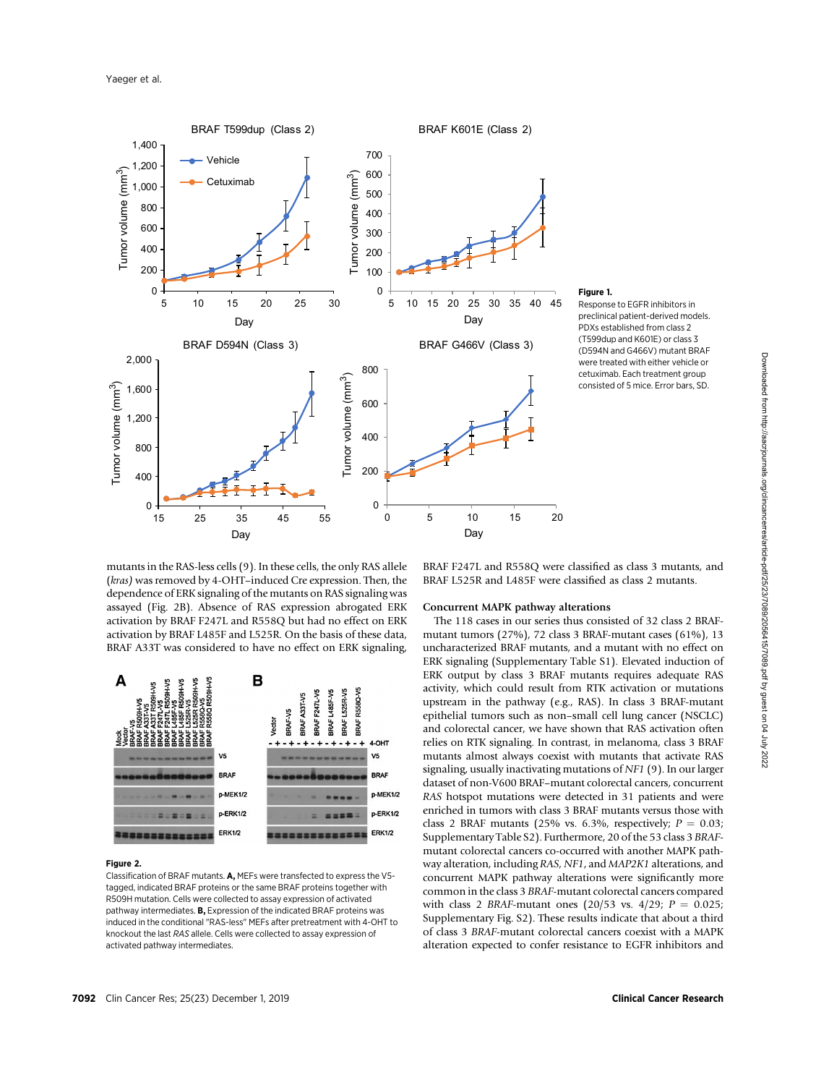

#### Figure 1.

Response to EGFR inhibitors in preclinical patient-derived models. PDXs established from class 2 (T599dup and K601E) or class 3 (D594N and G466V) mutant BRAF were treated with either vehicle or cetuximab. Each treatment group consisted of 5 mice. Error bars, SD.

mutants in the RAS-less cells (9). In these cells, the only RAS allele (kras) was removed by 4-OHT–induced Cre expression. Then, the dependence of ERK signaling of the mutants on RAS signaling was assayed (Fig. 2B). Absence of RAS expression abrogated ERK activation by BRAF F247L and R558Q but had no effect on ERK activation by BRAF L485F and L525R. On the basis of these data, BRAF A33T was considered to have no effect on ERK signaling,



#### Figure 2.

Classification of BRAF mutants. A, MEFs were transfected to express the V5 tagged, indicated BRAF proteins or the same BRAF proteins together with R509H mutation. Cells were collected to assay expression of activated pathway intermediates. **B,** Expression of the indicated BRAF proteins was induced in the conditional "RAS-less" MEFs after pretreatment with 4-OHT to knockout the last RAS allele. Cells were collected to assay expression of activated pathway intermediates.

BRAF F247L and R558Q were classified as class 3 mutants, and BRAF L525R and L485F were classified as class 2 mutants.

# Concurrent MAPK pathway alterations

The 118 cases in our series thus consisted of 32 class 2 BRAFmutant tumors (27%), 72 class 3 BRAF-mutant cases (61%), 13 uncharacterized BRAF mutants, and a mutant with no effect on ERK signaling (Supplementary Table S1). Elevated induction of ERK output by class 3 BRAF mutants requires adequate RAS activity, which could result from RTK activation or mutations upstream in the pathway (e.g., RAS). In class 3 BRAF-mutant epithelial tumors such as non–small cell lung cancer (NSCLC) and colorectal cancer, we have shown that RAS activation often relies on RTK signaling. In contrast, in melanoma, class 3 BRAF mutants almost always coexist with mutants that activate RAS signaling, usually inactivating mutations of NF1 (9). In our larger dataset of non-V600 BRAF–mutant colorectal cancers, concurrent RAS hotspot mutations were detected in 31 patients and were enriched in tumors with class 3 BRAF mutants versus those with class 2 BRAF mutants (25% vs. 6.3%, respectively;  $P = 0.03$ ; Supplementary Table S2). Furthermore, 20 of the 53 class 3 BRAFmutant colorectal cancers co-occurred with another MAPK pathway alteration, including RAS, NF1, and MAP2K1 alterations, and concurrent MAPK pathway alterations were significantly more common in the class 3 BRAF-mutant colorectal cancers compared with class 2 BRAF-mutant ones (20/53 vs. 4/29;  $P = 0.025$ ; Supplementary Fig. S2). These results indicate that about a third of class 3 BRAF-mutant colorectal cancers coexist with a MAPK alteration expected to confer resistance to EGFR inhibitors and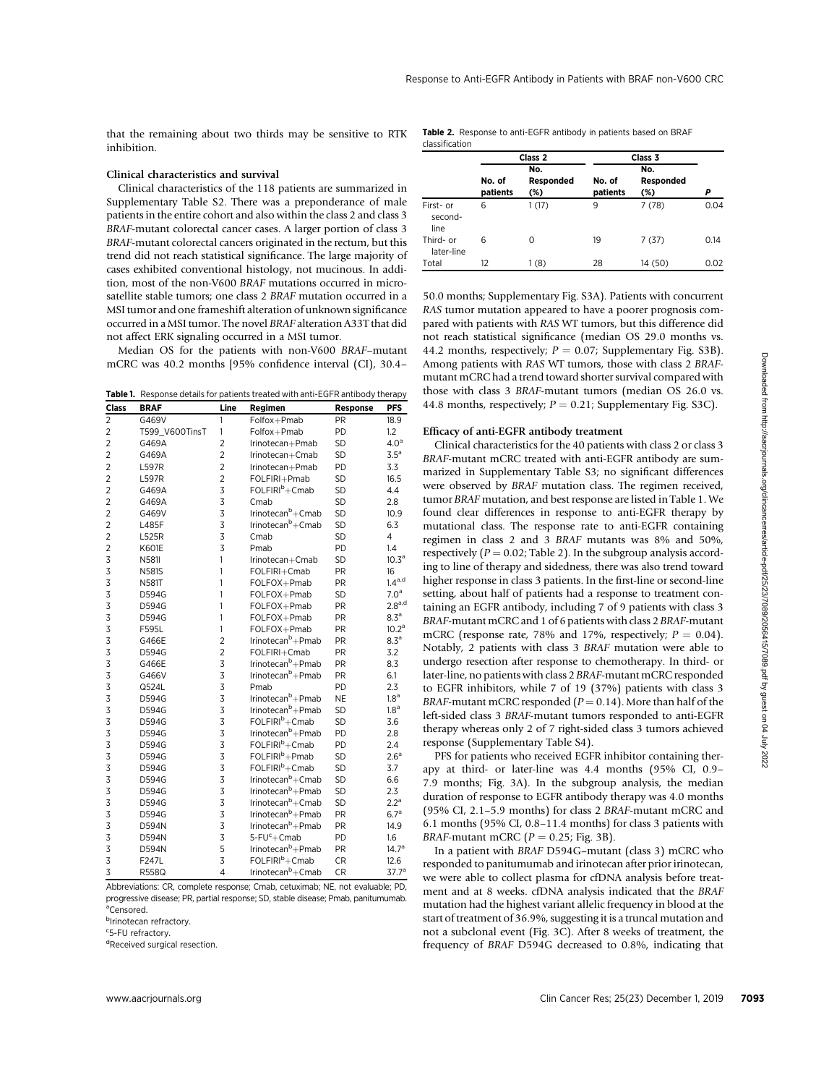that the remaining about two thirds may be sensitive to RTK inhibition.

#### Clinical characteristics and survival

Clinical characteristics of the 118 patients are summarized in Supplementary Table S2. There was a preponderance of male patients in the entire cohort and also within the class 2 and class 3 BRAF-mutant colorectal cancer cases. A larger portion of class 3 BRAF-mutant colorectal cancers originated in the rectum, but this trend did not reach statistical significance. The large majority of cases exhibited conventional histology, not mucinous. In addition, most of the non-V600 BRAF mutations occurred in microsatellite stable tumors; one class 2 BRAF mutation occurred in a MSI tumor and one frameshift alteration of unknown significance occurred in a MSI tumor. The novel BRAF alteration A33T that did not affect ERK signaling occurred in a MSI tumor.

Median OS for the patients with non-V600 BRAF–mutant mCRC was 40.2 months [95% confidence interval (CI), 30.4–

Table 1. Response details for patients treated with anti-EGFR antibody therapy

|                        |                                                                      |                         | mCRC was 40.2 months [95% confidence interval (CI), 30.4-                                                                                                          |           | Among patients with RAS WT tumors, those with class 2 BRAF-<br>mutant mCRC had a trend toward shorter survival compared with |                                                                                                                                                                                                                                                                               |
|------------------------|----------------------------------------------------------------------|-------------------------|--------------------------------------------------------------------------------------------------------------------------------------------------------------------|-----------|------------------------------------------------------------------------------------------------------------------------------|-------------------------------------------------------------------------------------------------------------------------------------------------------------------------------------------------------------------------------------------------------------------------------|
|                        |                                                                      |                         | <b>Table 1.</b> Response details for patients treated with anti-EGFR antibody therapy                                                                              |           |                                                                                                                              | those with class 3 BRAF-mutant tumors (median OS 26.0 vs.                                                                                                                                                                                                                     |
| Class                  | <b>BRAF</b>                                                          | Line                    | Regimen                                                                                                                                                            | Response  | PFS                                                                                                                          | 44.8 months, respectively; $P = 0.21$ ; Supplementary Fig. S3C).                                                                                                                                                                                                              |
| $\overline{2}$         | G469V                                                                | $\mathbf{1}$            | Folfox+Pmab                                                                                                                                                        | PR        | 18.9                                                                                                                         |                                                                                                                                                                                                                                                                               |
| 2                      | T599_V600TinsT                                                       | $\mathbf{1}$            | Folfox+Pmab                                                                                                                                                        | PD        | 1.2                                                                                                                          | Efficacy of anti-EGFR antibody treatment                                                                                                                                                                                                                                      |
| $\overline{2}$         | G469A                                                                | $\overline{2}$          | Irinotecan+Pmab                                                                                                                                                    | SD        | 4.0 <sup>a</sup>                                                                                                             | Clinical characteristics for the 40 patients with class 2 or class 3                                                                                                                                                                                                          |
| 2                      | G469A                                                                | $\overline{2}$          | Irinotecan+Cmab                                                                                                                                                    | SD        | 3.5 <sup>a</sup>                                                                                                             |                                                                                                                                                                                                                                                                               |
| 2                      | <b>L597R</b>                                                         | $\overline{2}$          | Irinotecan+Pmab                                                                                                                                                    | PD        | 3.3                                                                                                                          | BRAF-mutant mCRC treated with anti-EGFR antibody are sum-                                                                                                                                                                                                                     |
| 2                      | <b>L597R</b>                                                         | $\overline{2}$          | FOLFIRI+Pmab                                                                                                                                                       | SD        | 16.5                                                                                                                         | marized in Supplementary Table S3; no significant differences                                                                                                                                                                                                                 |
| $\overline{2}$         | G469A                                                                | 3                       | FOLFIRI <sup>b</sup> +Cmab                                                                                                                                         | <b>SD</b> | 4.4                                                                                                                          | were observed by BRAF mutation class. The regimen received,                                                                                                                                                                                                                   |
| 2                      | G469A                                                                | 3                       | Cmab                                                                                                                                                               | SD        | 2.8                                                                                                                          | tumor BRAF mutation, and best response are listed in Table 1. We                                                                                                                                                                                                              |
| $\overline{2}$         | G469V                                                                | 3                       | Irinotecan <sup>b</sup> +Cmab                                                                                                                                      | SD        | 10.9                                                                                                                         | found clear differences in response to anti-EGFR therapy by                                                                                                                                                                                                                   |
| $\overline{2}$         | L485F                                                                | 3                       | Irinotecan <sup>b</sup> +Cmab                                                                                                                                      | SD        | 6.3                                                                                                                          | mutational class. The response rate to anti-EGFR containing                                                                                                                                                                                                                   |
|                        | <b>L525R</b>                                                         | 3                       | Cmab                                                                                                                                                               | SD        | 4                                                                                                                            |                                                                                                                                                                                                                                                                               |
| 2                      | K601E                                                                | 3                       | Pmab                                                                                                                                                               | PD        | 1.4                                                                                                                          | regimen in class 2 and 3 BRAF mutants was 8% and 50%,                                                                                                                                                                                                                         |
| $\overline{c}$<br>3    | N581I                                                                | 1                       | Irinotecan+Cmab                                                                                                                                                    | <b>SD</b> | 10.3 <sup>a</sup>                                                                                                            | respectively ( $P = 0.02$ ; Table 2). In the subgroup analysis accord-                                                                                                                                                                                                        |
| 3                      | <b>N581S</b>                                                         | 1                       | FOLFIRI+Cmab                                                                                                                                                       | PR        | 16                                                                                                                           | ing to line of therapy and sidedness, there was also trend toward                                                                                                                                                                                                             |
|                        | <b>N581T</b>                                                         | 1                       | FOLFOX+Pmab                                                                                                                                                        | PR        | $1.4^{\mathrm{a,d}}$                                                                                                         | higher response in class 3 patients. In the first-line or second-line                                                                                                                                                                                                         |
| 3<br>3                 | D594G                                                                | 1                       | FOLFOX+Pmab                                                                                                                                                        | <b>SD</b> | 7.0 <sup>a</sup>                                                                                                             | setting, about half of patients had a response to treatment con-                                                                                                                                                                                                              |
|                        | D594G                                                                | 1                       | FOLFOX+Pmab                                                                                                                                                        | PR        | $2.8^{a,d}$                                                                                                                  |                                                                                                                                                                                                                                                                               |
| 3<br>3                 | D594G                                                                | $\mathbf{1}$            | FOLFOX+Pmab                                                                                                                                                        | PR        | $8.3^a$                                                                                                                      | taining an EGFR antibody, including 7 of 9 patients with class 3                                                                                                                                                                                                              |
| 3                      | F595L                                                                | $\mathbf{1}$            | FOLFOX+Pmab                                                                                                                                                        | PR        | 10.2 <sup>a</sup>                                                                                                            | BRAF-mutant mCRC and 1 of 6 patients with class 2 BRAF-mutant                                                                                                                                                                                                                 |
|                        | G466E                                                                | $\overline{2}$          | Irinotecan <sup>b</sup> +Pmab                                                                                                                                      | PR        | 8.3 <sup>a</sup>                                                                                                             | mCRC (response rate, 78% and 17%, respectively; $P = 0.04$ ).                                                                                                                                                                                                                 |
| 3                      | D594G                                                                | $\overline{\mathbf{c}}$ | FOLFIRI+Cmab                                                                                                                                                       | PR        | 3.2                                                                                                                          | Notably, 2 patients with class 3 BRAF mutation were able to                                                                                                                                                                                                                   |
|                        | G466E                                                                | $\overline{\mathsf{3}}$ | Irinotecan <sup>b</sup> +Pmab                                                                                                                                      | PR        | 8.3                                                                                                                          | undergo resection after response to chemotherapy. In third- or                                                                                                                                                                                                                |
| 3<br>3                 | G466V                                                                | 3                       | Irinotecan <sup>b</sup> +Pmab                                                                                                                                      | PR        | 6.1                                                                                                                          | later-line, no patients with class 2 BRAF-mutant mCRC responded                                                                                                                                                                                                               |
| 3                      | Q524L                                                                | 3                       | Pmab                                                                                                                                                               | PD        | 2.3                                                                                                                          |                                                                                                                                                                                                                                                                               |
|                        | D594G                                                                | $\overline{3}$          | Irinotecan <sup>b</sup> +Pmab                                                                                                                                      | <b>NE</b> | 1.8 <sup>a</sup>                                                                                                             | to EGFR inhibitors, while 7 of 19 (37%) patients with class 3                                                                                                                                                                                                                 |
|                        | D594G                                                                | $\overline{\mathsf{3}}$ | Irinotecan <sup>b</sup> +Pmab                                                                                                                                      | SD        | 1.8 <sup>a</sup>                                                                                                             | BRAF-mutant mCRC responded ( $P = 0.14$ ). More than half of the                                                                                                                                                                                                              |
| 3<br>3                 | D594G                                                                | 3                       | FOLFIRI <sup>b</sup> +Cmab                                                                                                                                         | SD        | 3.6                                                                                                                          | left-sided class 3 BRAF-mutant tumors responded to anti-EGFR                                                                                                                                                                                                                  |
| 3                      | D594G                                                                | $\overline{\mathsf{3}}$ | Irinotecan <sup>b</sup> +Pmab                                                                                                                                      | PD        | 2.8                                                                                                                          | therapy whereas only 2 of 7 right-sided class 3 tumors achieved                                                                                                                                                                                                               |
| 3                      | D594G                                                                | $\overline{\mathsf{3}}$ | FOLFIRI <sup>b</sup> +Cmab                                                                                                                                         | PD        | 2.4                                                                                                                          | response (Supplementary Table S4).                                                                                                                                                                                                                                            |
|                        | D594G                                                                | 3                       | FOLFIRI <sup>b</sup> +Pmab                                                                                                                                         | <b>SD</b> | 2.6 <sup>a</sup>                                                                                                             | PFS for patients who received EGFR inhibitor containing ther-                                                                                                                                                                                                                 |
|                        | D594G                                                                | $\overline{\mathsf{3}}$ | FOLFIRI <sup>b</sup> +Cmab                                                                                                                                         | SD        | 3.7                                                                                                                          |                                                                                                                                                                                                                                                                               |
|                        | D594G                                                                | $\overline{3}$          | Irinotecan <sup>b</sup> +Cmab                                                                                                                                      | <b>SD</b> |                                                                                                                              | apy at third- or later-line was 4.4 months (95% CI, 0.9–                                                                                                                                                                                                                      |
|                        |                                                                      |                         |                                                                                                                                                                    |           | 6.6                                                                                                                          | 7.9 months; Fig. 3A). In the subgroup analysis, the median                                                                                                                                                                                                                    |
| 3<br>3                 | D594G                                                                | 3<br>$\overline{3}$     | Irinotecan <sup>b</sup> +Pmab                                                                                                                                      | <b>SD</b> | 2.3                                                                                                                          | duration of response to EGFR antibody therapy was 4.0 months                                                                                                                                                                                                                  |
|                        | D594G                                                                |                         | Irinotecan <sup>b</sup> +Cmab                                                                                                                                      | SD        | $2.2^{\circ}$                                                                                                                | (95% CI, 2.1-5.9 months) for class 2 BRAF-mutant mCRC and                                                                                                                                                                                                                     |
| 3                      | D594G                                                                | 3                       | Irinotecan <sup>b</sup> +Pmab                                                                                                                                      | PR        | 6.7 <sup>a</sup><br>14.9                                                                                                     | 6.1 months (95% CI, 0.8–11.4 months) for class 3 patients with                                                                                                                                                                                                                |
| 3                      | D594N                                                                | 3<br>$\overline{3}$     | Irinotecan <sup>b</sup> +Pmab                                                                                                                                      | PR        |                                                                                                                              |                                                                                                                                                                                                                                                                               |
| 3                      | D594N                                                                |                         | $5$ -FU $c$ +Cmab                                                                                                                                                  | PD        | 1.6                                                                                                                          | BRAF-mutant mCRC ( $P = 0.25$ ; Fig. 3B).                                                                                                                                                                                                                                     |
| 3                      | D594N                                                                | 5                       | Irinotecan <sup>b</sup> +Pmab<br>$FOLFIRIb+Cmab$                                                                                                                   | PR        | 14.7 <sup>a</sup>                                                                                                            | In a patient with BRAF D594G-mutant (class 3) mCRC who                                                                                                                                                                                                                        |
| 3<br>3                 | F247L                                                                | 3                       |                                                                                                                                                                    | CR        | 12.6                                                                                                                         | responded to panitumumab and irinotecan after prior irinotecan,                                                                                                                                                                                                               |
|                        | <b>R558Q</b>                                                         | 4                       | Irinotecan <sup>b</sup> +Cmab                                                                                                                                      | CR        | 37.7 <sup>a</sup>                                                                                                            | we were able to collect plasma for cfDNA analysis before treat-                                                                                                                                                                                                               |
| <sup>a</sup> Censored. | <sup>b</sup> Irinotecan refractory.<br><sup>c</sup> 5-FU refractory. |                         | Abbreviations: CR, complete response; Cmab, cetuximab; NE, not evaluable; PD,<br>progressive disease; PR, partial response; SD, stable disease; Pmab, panitumumab. |           |                                                                                                                              | ment and at 8 weeks. cfDNA analysis indicated that the BRAF<br>mutation had the highest variant allelic frequency in blood at the<br>start of treatment of 36.9%, suggesting it is a truncal mutation and<br>not a subclonal event (Fig. 3C). After 8 weeks of treatment, the |
|                        | <sup>a</sup> Received surgical resection.                            |                         |                                                                                                                                                                    |           |                                                                                                                              | frequency of BRAF D594G decreased to 0.8%, indicating that                                                                                                                                                                                                                    |
|                        | www.aacrjournals.org                                                 |                         |                                                                                                                                                                    |           |                                                                                                                              | Clin Cancer Res; 25(23) December 1, 2019                                                                                                                                                                                                                                      |

Table 2. Response to anti-EGFR antibody in patients based on BRAF classification

|                              |                    | Class <sub>2</sub>         | Class 3            |                            |      |
|------------------------------|--------------------|----------------------------|--------------------|----------------------------|------|
|                              | No. of<br>patients | No.<br>Responded<br>$(\%)$ | No. of<br>patients | No.<br>Responded<br>$(\%)$ | Р    |
| First- or<br>second-<br>line | 6                  | 1(17)                      | 9                  | 7(78)                      | 0.04 |
| Third- or<br>later-line      | 6                  | 0                          | 19                 | 7(37)                      | 0.14 |
| Total                        | 12                 | 1(8)                       | 28                 | 14 (50)                    | 0.02 |

50.0 months; Supplementary Fig. S3A). Patients with concurrent RAS tumor mutation appeared to have a poorer prognosis compared with patients with RAS WT tumors, but this difference did not reach statistical significance (median OS 29.0 months vs. 44.2 months, respectively;  $P = 0.07$ ; Supplementary Fig. S3B). Among patients with RAS WT tumors, those with class 2 BRAFmutant mCRC had a trend toward shorter survival compared with those with class 3 BRAF-mutant tumors (median OS 26.0 vs. 44.8 months, respectively;  $P = 0.21$ ; Supplementary Fig. S3C).

# Efficacy of anti-EGFR antibody treatment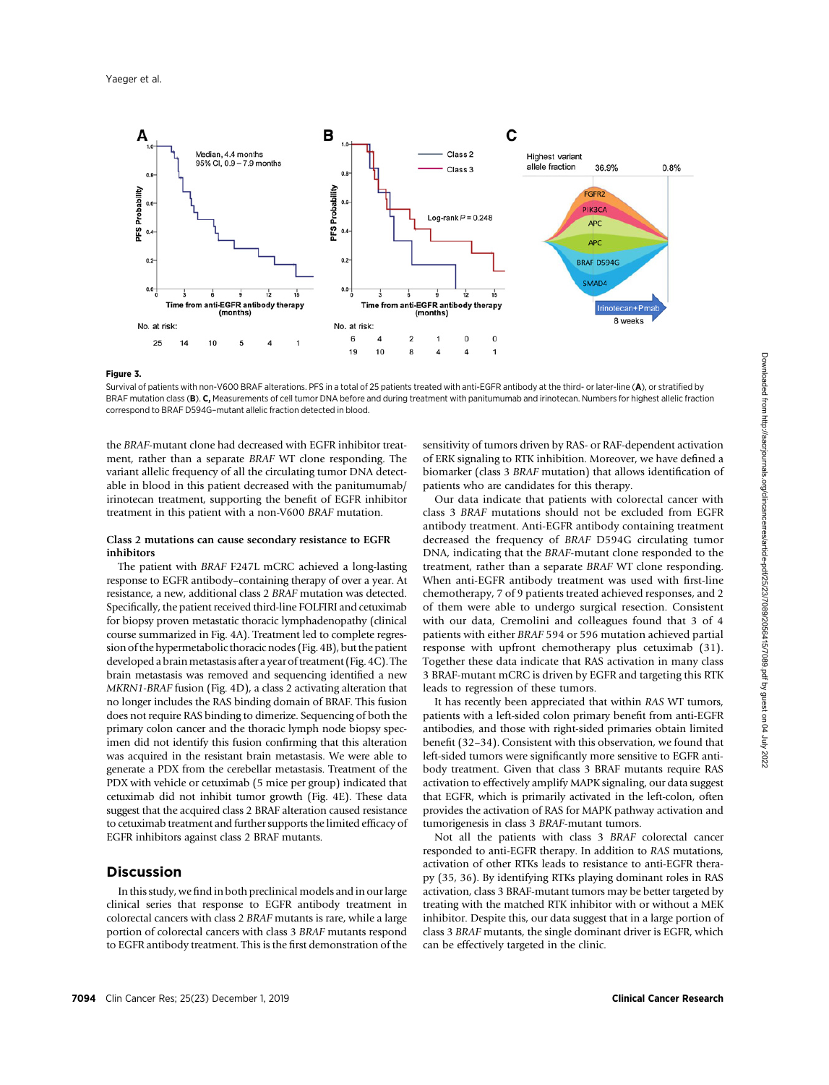

#### Figure 3.

Survival of patients with non-V600 BRAF alterations. PFS in a total of 25 patients treated with anti-EGFR antibody at the third- or later-line (A), or stratified by BRAF mutation class (B). C. Measurements of cell tumor DNA before and during treatment with panitumumab and irinotecan. Numbers for highest allelic fraction correspond to BRAF D594G–mutant allelic fraction detected in blood.

the BRAF-mutant clone had decreased with EGFR inhibitor treatment, rather than a separate BRAF WT clone responding. The variant allelic frequency of all the circulating tumor DNA detectable in blood in this patient decreased with the panitumumab/ irinotecan treatment, supporting the benefit of EGFR inhibitor treatment in this patient with a non-V600 BRAF mutation.

# Class 2 mutations can cause secondary resistance to EGFR inhibitors

The patient with BRAF F247L mCRC achieved a long-lasting response to EGFR antibody–containing therapy of over a year. At resistance, a new, additional class 2 BRAF mutation was detected. Specifically, the patient received third-line FOLFIRI and cetuximab for biopsy proven metastatic thoracic lymphadenopathy (clinical course summarized in Fig. 4A). Treatment led to complete regression of the hypermetabolic thoracic nodes (Fig. 4B), but the patient developed a brain metastasis after a year of treatment (Fig. 4C). The brain metastasis was removed and sequencing identified a new MKRN1-BRAF fusion (Fig. 4D), a class 2 activating alteration that no longer includes the RAS binding domain of BRAF. This fusion does not require RAS binding to dimerize. Sequencing of both the primary colon cancer and the thoracic lymph node biopsy specimen did not identify this fusion confirming that this alteration was acquired in the resistant brain metastasis. We were able to generate a PDX from the cerebellar metastasis. Treatment of the PDX with vehicle or cetuximab (5 mice per group) indicated that cetuximab did not inhibit tumor growth (Fig. 4E). These data suggest that the acquired class 2 BRAF alteration caused resistance to cetuximab treatment and further supports the limited efficacy of EGFR inhibitors against class 2 BRAF mutants.

# Discussion

In this study, we find in both preclinical models and in our large clinical series that response to EGFR antibody treatment in colorectal cancers with class 2 BRAF mutants is rare, while a large portion of colorectal cancers with class 3 BRAF mutants respond to EGFR antibody treatment. This is the first demonstration of the sensitivity of tumors driven by RAS- or RAF-dependent activation of ERK signaling to RTK inhibition. Moreover, we have defined a biomarker (class 3 BRAF mutation) that allows identification of patients who are candidates for this therapy.

Our data indicate that patients with colorectal cancer with class 3 BRAF mutations should not be excluded from EGFR antibody treatment. Anti-EGFR antibody containing treatment decreased the frequency of BRAF D594G circulating tumor DNA, indicating that the BRAF-mutant clone responded to the treatment, rather than a separate BRAF WT clone responding. When anti-EGFR antibody treatment was used with first-line chemotherapy, 7 of 9 patients treated achieved responses, and 2 of them were able to undergo surgical resection. Consistent with our data, Cremolini and colleagues found that 3 of 4 patients with either BRAF 594 or 596 mutation achieved partial response with upfront chemotherapy plus cetuximab (31). Together these data indicate that RAS activation in many class 3 BRAF-mutant mCRC is driven by EGFR and targeting this RTK leads to regression of these tumors.

It has recently been appreciated that within RAS WT tumors, patients with a left-sided colon primary benefit from anti-EGFR antibodies, and those with right-sided primaries obtain limited benefit (32–34). Consistent with this observation, we found that left-sided tumors were significantly more sensitive to EGFR antibody treatment. Given that class 3 BRAF mutants require RAS activation to effectively amplify MAPK signaling, our data suggest that EGFR, which is primarily activated in the left-colon, often provides the activation of RAS for MAPK pathway activation and tumorigenesis in class 3 BRAF-mutant tumors.

Not all the patients with class 3 BRAF colorectal cancer responded to anti-EGFR therapy. In addition to RAS mutations, activation of other RTKs leads to resistance to anti-EGFR therapy (35, 36). By identifying RTKs playing dominant roles in RAS activation, class 3 BRAF-mutant tumors may be better targeted by treating with the matched RTK inhibitor with or without a MEK inhibitor. Despite this, our data suggest that in a large portion of class 3 BRAF mutants, the single dominant driver is EGFR, which can be effectively targeted in the clinic.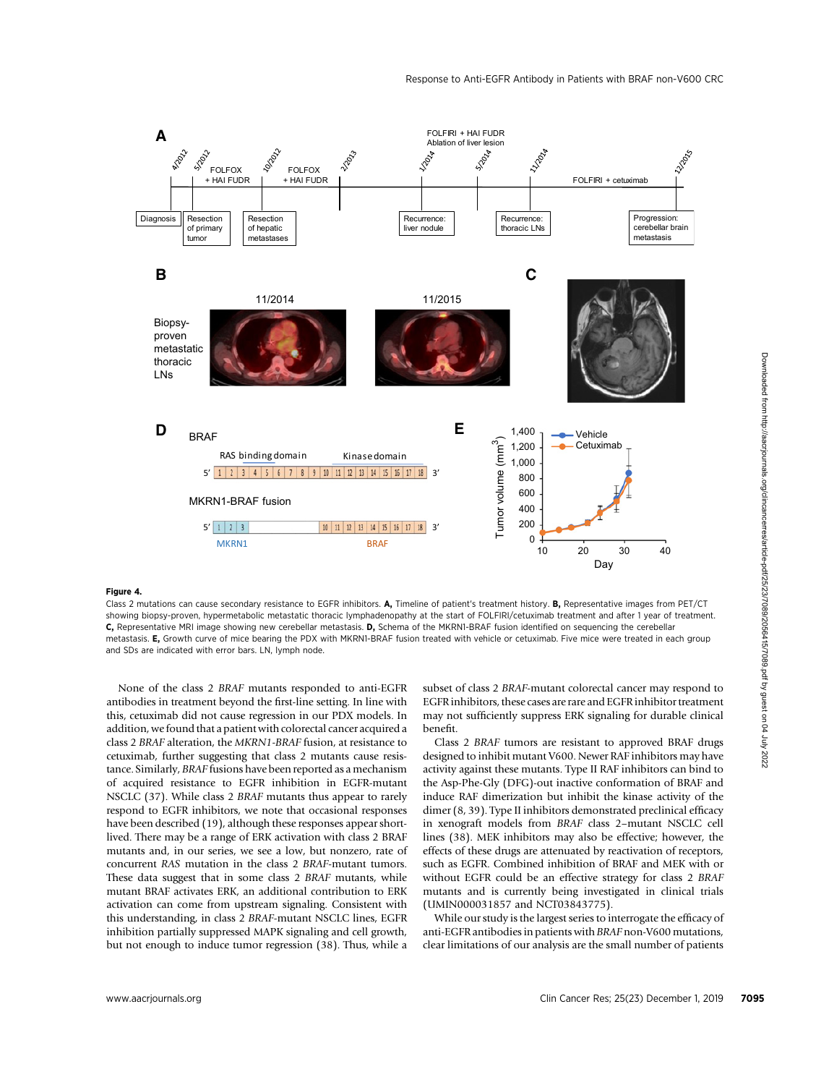

#### Figure 4.

Class 2 mutations can cause secondary resistance to EGFR inhibitors. A, Timeline of patient's treatment history. B, Representative images from PET/CT showing biopsy-proven, hypermetabolic metastatic thoracic lymphadenopathy at the start of FOLFIRI/cetuximab treatment and after 1 year of treatment. C, Representative MRI image showing new cerebellar metastasis. D, Schema of the MKRN1-BRAF fusion identified on sequencing the cerebellar metastasis. E, Growth curve of mice bearing the PDX with MKRN1-BRAF fusion treated with vehicle or cetuximab. Five mice were treated in each group and SDs are indicated with error bars. LN, lymph node.

None of the class 2 BRAF mutants responded to anti-EGFR antibodies in treatment beyond the first-line setting. In line with this, cetuximab did not cause regression in our PDX models. In addition, we found that a patient with colorectal cancer acquired a class 2 BRAF alteration, the MKRN1-BRAF fusion, at resistance to cetuximab, further suggesting that class 2 mutants cause resistance. Similarly, BRAF fusions have been reported as a mechanism of acquired resistance to EGFR inhibition in EGFR-mutant NSCLC (37). While class 2 BRAF mutants thus appear to rarely respond to EGFR inhibitors, we note that occasional responses have been described (19), although these responses appear shortlived. There may be a range of ERK activation with class 2 BRAF mutants and, in our series, we see a low, but nonzero, rate of concurrent RAS mutation in the class 2 BRAF-mutant tumors. These data suggest that in some class 2 BRAF mutants, while mutant BRAF activates ERK, an additional contribution to ERK activation can come from upstream signaling. Consistent with this understanding, in class 2 BRAF-mutant NSCLC lines, EGFR inhibition partially suppressed MAPK signaling and cell growth, but not enough to induce tumor regression (38). Thus, while a

subset of class 2 BRAF-mutant colorectal cancer may respond to EGFR inhibitors, these cases are rare and EGFR inhibitor treatment may not sufficiently suppress ERK signaling for durable clinical benefit.

Class 2 BRAF tumors are resistant to approved BRAF drugs designed to inhibit mutant V600. Newer RAF inhibitors may have activity against these mutants. Type II RAF inhibitors can bind to the Asp-Phe-Gly (DFG)-out inactive conformation of BRAF and induce RAF dimerization but inhibit the kinase activity of the dimer (8, 39). Type II inhibitors demonstrated preclinical efficacy in xenograft models from BRAF class 2–mutant NSCLC cell lines (38). MEK inhibitors may also be effective; however, the effects of these drugs are attenuated by reactivation of receptors, such as EGFR. Combined inhibition of BRAF and MEK with or without EGFR could be an effective strategy for class 2 BRAF mutants and is currently being investigated in clinical trials (UMIN000031857 and NCT03843775).

While our study is the largest series to interrogate the efficacy of anti-EGFR antibodies in patients with BRAF non-V600 mutations, clear limitations of our analysis are the small number of patients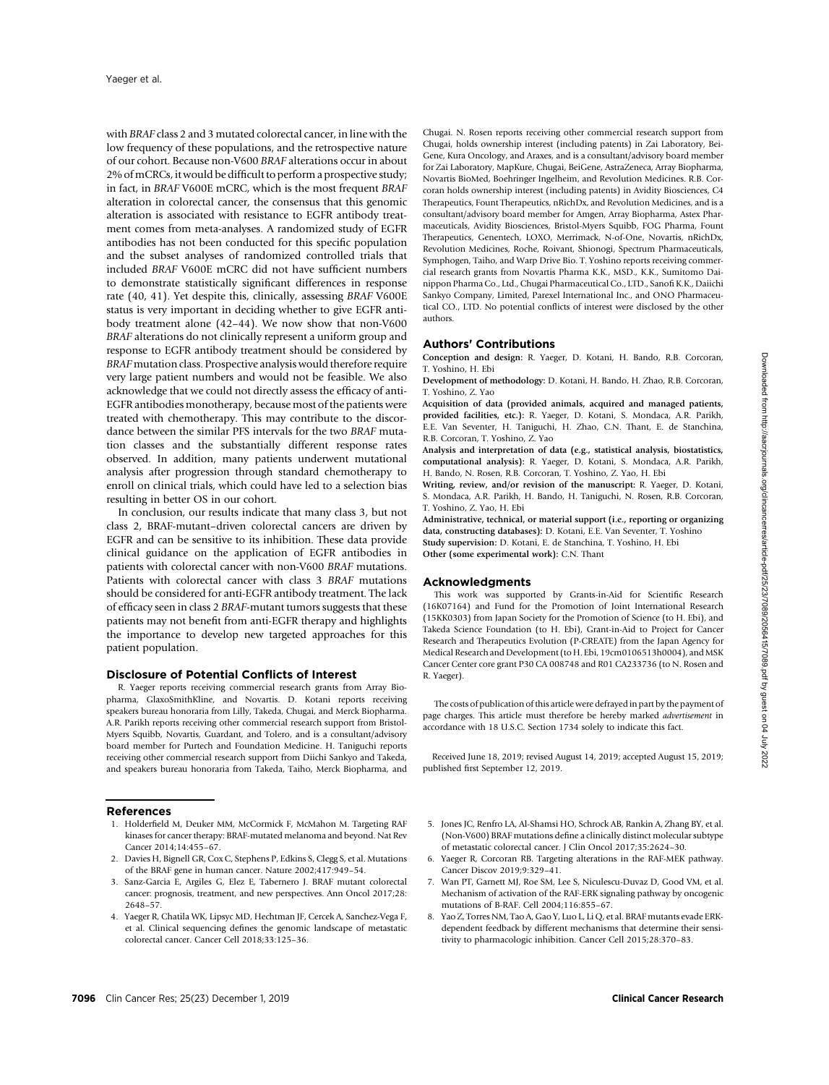with BRAF class 2 and 3 mutated colorectal cancer, in line with the low frequency of these populations, and the retrospective nature of our cohort. Because non-V600 BRAF alterations occur in about 2% of mCRCs, it would be difficult to perform a prospective study; in fact, in BRAF V600E mCRC, which is the most frequent BRAF alteration in colorectal cancer, the consensus that this genomic alteration is associated with resistance to EGFR antibody treatment comes from meta-analyses. A randomized study of EGFR antibodies has not been conducted for this specific population and the subset analyses of randomized controlled trials that included BRAF V600E mCRC did not have sufficient numbers to demonstrate statistically significant differences in response rate (40, 41). Yet despite this, clinically, assessing BRAF V600E status is very important in deciding whether to give EGFR antibody treatment alone (42–44). We now show that non-V600 BRAF alterations do not clinically represent a uniform group and response to EGFR antibody treatment should be considered by BRAF mutation class. Prospective analysis would therefore require very large patient numbers and would not be feasible. We also acknowledge that we could not directly assess the efficacy of anti-EGFR antibodies monotherapy, because most of the patients were treated with chemotherapy. This may contribute to the discordance between the similar PFS intervals for the two BRAF mutation classes and the substantially different response rates observed. In addition, many patients underwent mutational analysis after progression through standard chemotherapy to enroll on clinical trials, which could have led to a selection bias resulting in better OS in our cohort.

In conclusion, our results indicate that many class 3, but not class 2, BRAF-mutant–driven colorectal cancers are driven by EGFR and can be sensitive to its inhibition. These data provide clinical guidance on the application of EGFR antibodies in patients with colorectal cancer with non-V600 BRAF mutations. Patients with colorectal cancer with class 3 BRAF mutations should be considered for anti-EGFR antibody treatment. The lack of efficacy seen in class 2 BRAF-mutant tumors suggests that these patients may not benefit from anti-EGFR therapy and highlights the importance to develop new targeted approaches for this patient population.

#### Disclosure of Potential Conflicts of Interest

R. Yaeger reports receiving commercial research grants from Array Biopharma, GlaxoSmithKline, and Novartis. D. Kotani reports receiving speakers bureau honoraria from Lilly, Takeda, Chugai, and Merck Biopharma. A.R. Parikh reports receiving other commercial research support from Bristol-Myers Squibb, Novartis, Guardant, and Tolero, and is a consultant/advisory board member for Purtech and Foundation Medicine. H. Taniguchi reports receiving other commercial research support from Diichi Sankyo and Takeda, and speakers bureau honoraria from Takeda, Taiho, Merck Biopharma, and

#### **References**

- 1. Holderfield M, Deuker MM, McCormick F, McMahon M. Targeting RAF kinases for cancer therapy: BRAF-mutated melanoma and beyond. Nat Rev Cancer 2014;14:455–67.
- 2. Davies H, Bignell GR, Cox C, Stephens P, Edkins S, Clegg S, et al. Mutations of the BRAF gene in human cancer. Nature 2002;417:949–54.
- 3. Sanz-Garcia E, Argiles G, Elez E, Tabernero J. BRAF mutant colorectal cancer: prognosis, treatment, and new perspectives. Ann Oncol 2017;28: 2648–57.
- 4. Yaeger R, Chatila WK, Lipsyc MD, Hechtman JF, Cercek A, Sanchez-Vega F, et al. Clinical sequencing defines the genomic landscape of metastatic colorectal cancer. Cancer Cell 2018;33:125–36.

Chugai. N. Rosen reports receiving other commercial research support from Chugai, holds ownership interest (including patents) in Zai Laboratory, Bei-Gene, Kura Oncology, and Araxes, and is a consultant/advisory board member for Zai Laboratory, MapKure, Chugai, BeiGene, AstraZeneca, Array Biopharma, Novartis BioMed, Boehringer Ingelheim, and Revolution Medicines. R.B. Corcoran holds ownership interest (including patents) in Avidity Biosciences, C4 Therapeutics, Fount Therapeutics, nRichDx, and Revolution Medicines, and is a consultant/advisory board member for Amgen, Array Biopharma, Astex Pharmaceuticals, Avidity Biosciences, Bristol-Myers Squibb, FOG Pharma, Fount Therapeutics, Genentech, LOXO, Merrimack, N-of-One, Novartis, nRichDx, Revolution Medicines, Roche, Roivant, Shionogi, Spectrum Pharmaceuticals, Symphogen, Taiho, and Warp Drive Bio. T. Yoshino reports receiving commercial research grants from Novartis Pharma K.K., MSD., K.K., Sumitomo Dainippon Pharma Co., Ltd., Chugai Pharmaceutical Co., LTD., Sanofi K.K., Daiichi Sankyo Company, Limited, Parexel International Inc., and ONO Pharmaceutical CO., LTD. No potential conflicts of interest were disclosed by the other authors.

## Authors' Contributions

Conception and design: R. Yaeger, D. Kotani, H. Bando, R.B. Corcoran, T. Yoshino, H. Ebi

Development of methodology: D. Kotani, H. Bando, H. Zhao, R.B. Corcoran, T. Yoshino, Z. Yao

Acquisition of data (provided animals, acquired and managed patients, provided facilities, etc.): R. Yaeger, D. Kotani, S. Mondaca, A.R. Parikh, E.E. Van Seventer, H. Taniguchi, H. Zhao, C.N. Thant, E. de Stanchina, R.B. Corcoran, T. Yoshino, Z. Yao

Analysis and interpretation of data (e.g., statistical analysis, biostatistics, computational analysis): R. Yaeger, D. Kotani, S. Mondaca, A.R. Parikh, H. Bando, N. Rosen, R.B. Corcoran, T. Yoshino, Z. Yao, H. Ebi

Writing, review, and/or revision of the manuscript: R. Yaeger, D. Kotani, S. Mondaca, A.R. Parikh, H. Bando, H. Taniguchi, N. Rosen, R.B. Corcoran, T. Yoshino, Z. Yao, H. Ebi

Administrative, technical, or material support (i.e., reporting or organizing data, constructing databases): D. Kotani, E.E. Van Seventer, T. Yoshino Study supervision: D. Kotani, E. de Stanchina, T. Yoshino, H. Ebi Other (some experimental work): C.N. Thant

#### Acknowledgments

This work was supported by Grants-in-Aid for Scientific Research (16K07164) and Fund for the Promotion of Joint International Research (15KK0303) from Japan Society for the Promotion of Science (to H. Ebi), and Takeda Science Foundation (to H. Ebi), Grant-in-Aid to Project for Cancer Research and Therapeutics Evolution (P-CREATE) from the Japan Agency for Medical Research and Development (to H. Ebi, 19cm0106513h0004), and MSK Cancer Center core grant P30 CA 008748 and R01 CA233736 (to N. Rosen and R. Yaeger).

The costs of publication of this article were defrayed in part by the payment of page charges. This article must therefore be hereby marked advertisement in accordance with 18 U.S.C. Section 1734 solely to indicate this fact.

Received June 18, 2019; revised August 14, 2019; accepted August 15, 2019; published first September 12, 2019.

- 5. Jones JC, Renfro LA, Al-Shamsi HO, Schrock AB, Rankin A, Zhang BY, et al. (Non-V600) BRAF mutations define a clinically distinct molecular subtype of metastatic colorectal cancer. J Clin Oncol 2017;35:2624–30.
- 6. Yaeger R, Corcoran RB. Targeting alterations in the RAF-MEK pathway. Cancer Discov 2019;9:329–41.
- 7. Wan PT, Garnett MJ, Roe SM, Lee S, Niculescu-Duvaz D, Good VM, et al. Mechanism of activation of the RAF-ERK signaling pathway by oncogenic mutations of B-RAF. Cell 2004;116:855–67.
- 8. Yao Z, Torres NM, Tao A, Gao Y, Luo L, Li Q, et al. BRAF mutants evade ERKdependent feedback by different mechanisms that determine their sensitivity to pharmacologic inhibition. Cancer Cell 2015;28:370–83.